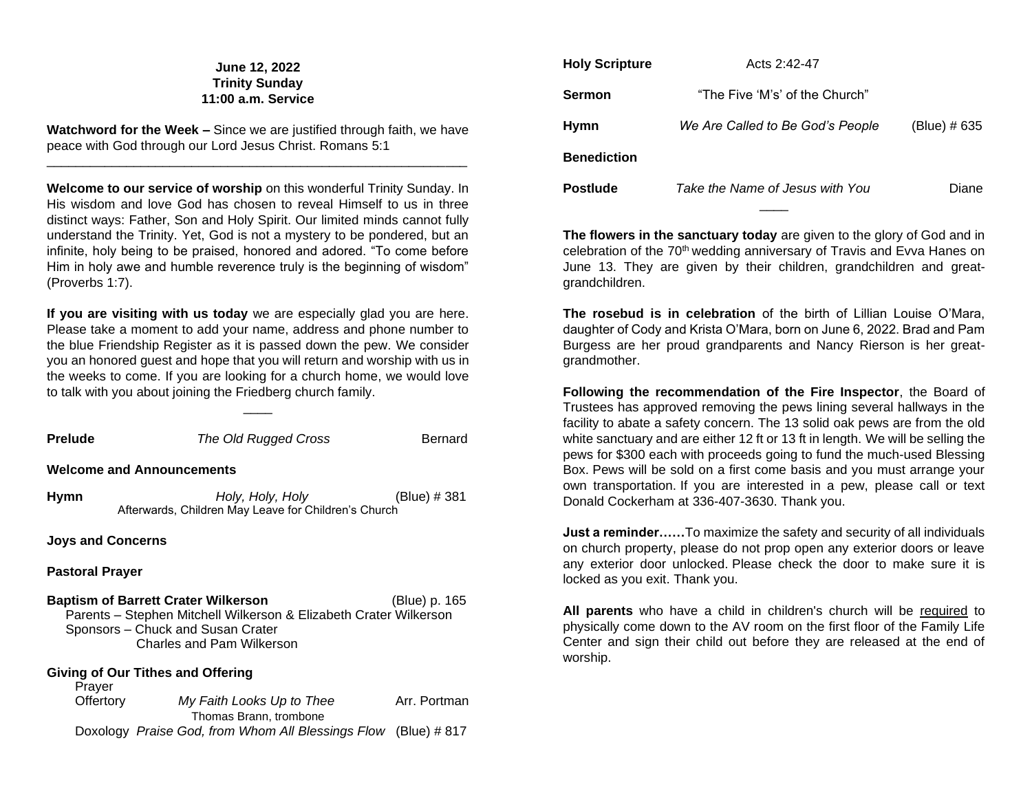# **June 12, 2022 Trinity Sunday 11:00 a.m. Service**

**Watchword for the Week –** Since we are justified through faith, we have peace with God through our Lord Jesus Christ. Romans 5:1 \_\_\_\_\_\_\_\_\_\_\_\_\_\_\_\_\_\_\_\_\_\_\_\_\_\_\_\_\_\_\_\_\_\_\_\_\_\_\_\_\_\_\_\_\_\_\_\_\_\_\_\_\_\_\_\_\_\_

**Welcome to our service of worship** on this wonderful Trinity Sunday. In His wisdom and love God has chosen to reveal Himself to us in three distinct ways: Father, Son and Holy Spirit. Our limited minds cannot fully understand the Trinity. Yet, God is not a mystery to be pondered, but an infinite, holy being to be praised, honored and adored. "To come before Him in holy awe and humble reverence truly is the beginning of wisdom" (Proverbs 1:7).

**If you are visiting with us today** we are especially glad you are here. Please take a moment to add your name, address and phone number to the blue Friendship Register as it is passed down the pew. We consider you an honored guest and hope that you will return and worship with us in the weeks to come. If you are looking for a church home, we would love to talk with you about joining the Friedberg church family.

 $\overline{\phantom{a}}$ 

| <b>Prelude</b>                                                                                                                                                                                     | The Old Rugged Cross                                                     | Bernard      |  |  |
|----------------------------------------------------------------------------------------------------------------------------------------------------------------------------------------------------|--------------------------------------------------------------------------|--------------|--|--|
| <b>Welcome and Announcements</b>                                                                                                                                                                   |                                                                          |              |  |  |
| Hymn                                                                                                                                                                                               | Holy, Holy, Holy<br>Afterwards, Children May Leave for Children's Church | (Blue) # 381 |  |  |
| <b>Joys and Concerns</b>                                                                                                                                                                           |                                                                          |              |  |  |
| <b>Pastoral Prayer</b>                                                                                                                                                                             |                                                                          |              |  |  |
| <b>Baptism of Barrett Crater Wilkerson</b><br>(Blue) p. 165<br>Parents – Stephen Mitchell Wilkerson & Elizabeth Crater Wilkerson<br>Sponsors - Chuck and Susan Crater<br>Charles and Pam Wilkerson |                                                                          |              |  |  |
| Giving of Our Tithes and Offering<br>Prayer                                                                                                                                                        |                                                                          |              |  |  |
| Offertory                                                                                                                                                                                          | My Faith Looks Up to Thee<br>Thomas Brann, trombone                      | Arr. Portman |  |  |
|                                                                                                                                                                                                    | Doxology Praise God, from Whom All Blessings Flow (Blue) #817            |              |  |  |

| <b>Holy Scripture</b> | Acts 2:42-47                     |              |
|-----------------------|----------------------------------|--------------|
| Sermon                | "The Five 'M's' of the Church"   |              |
| <b>Hymn</b>           | We Are Called to Be God's People | (Blue) # 635 |
| <b>Benediction</b>    |                                  |              |
| <b>Postlude</b>       | Take the Name of Jesus with You  | Diane        |
|                       |                                  |              |

**The flowers in the sanctuary today** are given to the glory of God and in celebration of the 70<sup>th</sup> wedding anniversary of Travis and Evva Hanes on June 13. They are given by their children, grandchildren and greatgrandchildren.

**The rosebud is in celebration** of the birth of Lillian Louise O'Mara, daughter of Cody and Krista O'Mara, born on June 6, 2022. Brad and Pam Burgess are her proud grandparents and Nancy Rierson is her greatgrandmother.

**Following the recommendation of the Fire Inspector**, the Board of Trustees has approved removing the pews lining several hallways in the facility to abate a safety concern. The 13 solid oak pews are from the old white sanctuary and are either 12 ft or 13 ft in length. We will be selling the pews for \$300 each with proceeds going to fund the much-used Blessing Box. Pews will be sold on a first come basis and you must arrange your own transportation. If you are interested in a pew, please call or text Donald Cockerham at 336-407-3630. Thank you.

**Just a reminder……**To maximize the safety and security of all individuals on church property, please do not prop open any exterior doors or leave any exterior door unlocked. Please check the door to make sure it is locked as you exit. Thank you.

**All parents** who have a child in children's church will be required to physically come down to the AV room on the first floor of the Family Life Center and sign their child out before they are released at the end of worship.